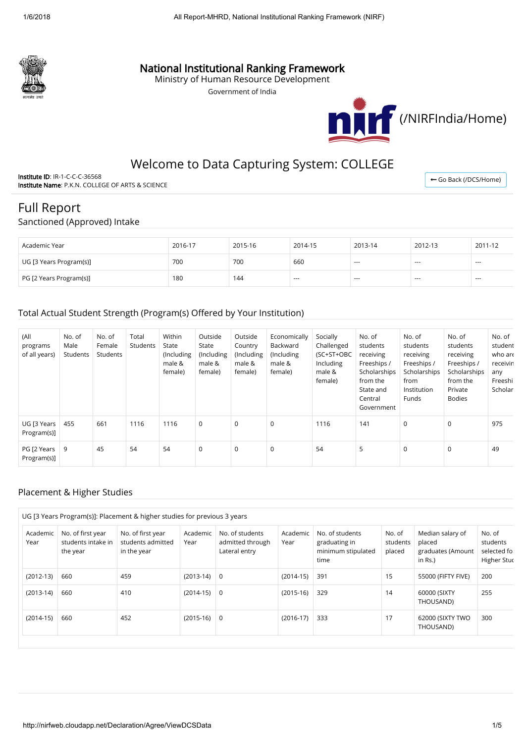

# National Institutional Ranking Framework

Ministry of Human Resource Development

Government of India



# Welcome to Data Capturing System: COLLEGE

Institute ID: IR-1-C-C-C-36568 Institute Name: P.K.N. COLLEGE OF ARTS & SCIENCE

← [Go Back \(/DCS/Home\)](http://nirfweb.cloudapp.net/DCS/Home)

# Full Report

#### Sanctioned (Approved) Intake

| Academic Year           | 2016-17 | 2015-16 | 2014-15 | 2013-14 | 2012-13 | 2011-12       |
|-------------------------|---------|---------|---------|---------|---------|---------------|
| UG [3 Years Program(s)] | 700     | 700     | 660     | $- - -$ | $-$     | $\sim$ $\sim$ |
| PG [2 Years Program(s)] | 180     | 144     | $- - -$ | $- - -$ | $- - -$ | $- - -$       |

## Total Actual Student Strength (Program(s) Offered by Your Institution)

| (All<br>programs<br>of all years) | No. of<br>Male<br>Students | No. of<br>Female<br>Students | Total<br>Students | Within<br>State<br>(Including<br>male &<br>female) | Outside<br>State<br>(Including<br>male &<br>female) | Outside<br>Country<br>(Including<br>male &<br>female) | Economically<br>Backward<br>(Including<br>male &<br>female) | Socially<br>Challenged<br>(SC+ST+OBC<br>Including<br>male &<br>female) | No. of<br>students<br>receiving<br>Freeships /<br>Scholarships<br>from the<br>State and<br>Central<br>Government | No. of<br>students<br>receiving<br>Freeships /<br>Scholarships<br>from<br>Institution<br>Funds | No. of<br>students<br>receiving<br>Freeships /<br>Scholarships<br>from the<br>Private<br><b>Bodies</b> | No. of<br>student<br>who are<br>receivin<br>any<br>Freeshi<br>Scholar |
|-----------------------------------|----------------------------|------------------------------|-------------------|----------------------------------------------------|-----------------------------------------------------|-------------------------------------------------------|-------------------------------------------------------------|------------------------------------------------------------------------|------------------------------------------------------------------------------------------------------------------|------------------------------------------------------------------------------------------------|--------------------------------------------------------------------------------------------------------|-----------------------------------------------------------------------|
| UG [3 Years<br>Program(s)]        | 455                        | 661                          | 1116              | 1116                                               | $\mathbf 0$                                         | $\mathbf 0$                                           | $\mathbf 0$                                                 | 1116                                                                   | 141                                                                                                              | $\mathbf 0$                                                                                    | $\mathbf 0$                                                                                            | 975                                                                   |
| PG [2 Years<br>Program(s)]        | 9                          | 45                           | 54                | 54                                                 | $\mathbf 0$                                         | $\mathbf 0$                                           | $\mathbf 0$                                                 | 54                                                                     | 5                                                                                                                | 0                                                                                              | $\mathbf 0$                                                                                            | 49                                                                    |

## Placement & Higher Studies

| Academic<br>Year | No. of first year<br>students intake in<br>the year | No. of first year<br>students admitted<br>in the year | Academic<br>Year | No. of students<br>admitted through<br>Lateral entry | Academic<br>Year | No. of students<br>graduating in<br>minimum stipulated<br>time | No. of<br>students<br>placed | Median salary of<br>placed<br>graduates (Amount<br>in Rs.) | No. of<br>students<br>selected fo<br>Higher Stuc |
|------------------|-----------------------------------------------------|-------------------------------------------------------|------------------|------------------------------------------------------|------------------|----------------------------------------------------------------|------------------------------|------------------------------------------------------------|--------------------------------------------------|
| $(2012-13)$      | 660                                                 | 459                                                   | $(2013-14)$      | 0                                                    | $(2014-15)$      | 391                                                            | 15                           | 55000 (FIFTY FIVE)                                         | 200                                              |
| $(2013-14)$      | 660                                                 | 410                                                   | $(2014-15)$      | 0                                                    | $(2015-16)$      | 329                                                            | 14                           | 60000 (SIXTY<br>THOUSAND)                                  | 255                                              |
| $(2014-15)$      | 660                                                 | 452                                                   | $(2015-16)$      | 0                                                    | $(2016-17)$      | 333                                                            | 17                           | 62000 (SIXTY TWO<br>THOUSAND)                              | 300                                              |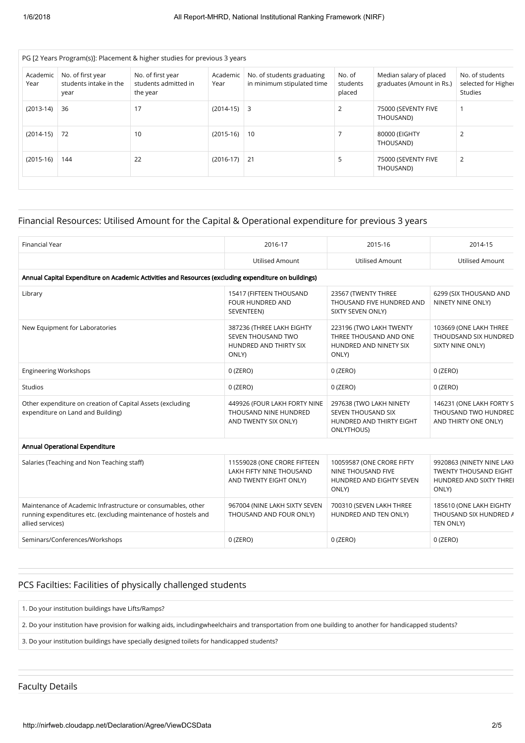|                  | PG [2 Years Program(s)]: Placement & higher studies for previous 3 years |                                                       |                  |                                                          |                              |                                                      |                                                          |  |  |  |  |  |
|------------------|--------------------------------------------------------------------------|-------------------------------------------------------|------------------|----------------------------------------------------------|------------------------------|------------------------------------------------------|----------------------------------------------------------|--|--|--|--|--|
| Academic<br>Year | No. of first year<br>students intake in the<br>year                      | No. of first year<br>students admitted in<br>the year | Academic<br>Year | No. of students graduating<br>in minimum stipulated time | No. of<br>students<br>placed | Median salary of placed<br>graduates (Amount in Rs.) | No. of students<br>selected for Higher<br><b>Studies</b> |  |  |  |  |  |
| $(2013-14)$      | 36                                                                       | 17                                                    | $(2014-15)$ 3    |                                                          | $\overline{2}$               | 75000 (SEVENTY FIVE<br>THOUSAND)                     |                                                          |  |  |  |  |  |
| $(2014-15)$      | 72                                                                       | 10                                                    | $(2015-16)$ 10   |                                                          |                              | 80000 (EIGHTY<br>THOUSAND)                           | 2                                                        |  |  |  |  |  |
| $(2015-16)$      | 144                                                                      | 22                                                    | $(2016-17)$      | $\vert$ 21                                               | 5                            | 75000 (SEVENTY FIVE<br>THOUSAND)                     | 2                                                        |  |  |  |  |  |
|                  |                                                                          |                                                       |                  |                                                          |                              |                                                      |                                                          |  |  |  |  |  |

### Financial Resources: Utilised Amount for the Capital & Operational expenditure for previous 3 years

| <b>Financial Year</b>                                                                                                                               | 2016-17                                                                            | 2015-16                                                                                        | 2014-15                                                                                       |
|-----------------------------------------------------------------------------------------------------------------------------------------------------|------------------------------------------------------------------------------------|------------------------------------------------------------------------------------------------|-----------------------------------------------------------------------------------------------|
|                                                                                                                                                     | <b>Utilised Amount</b>                                                             | <b>Utilised Amount</b>                                                                         | <b>Utilised Amount</b>                                                                        |
| Annual Capital Expenditure on Academic Activities and Resources (excluding expenditure on buildings)                                                |                                                                                    |                                                                                                |                                                                                               |
| Library                                                                                                                                             | 15417 (FIFTEEN THOUSAND<br>FOUR HUNDRED AND<br>SEVENTEEN)                          | 23567 (TWENTY THREE<br>THOUSAND FIVE HUNDRED AND<br>SIXTY SEVEN ONLY)                          | 6299 (SIX THOUSAND AND<br>NINETY NINE ONLY)                                                   |
| New Equipment for Laboratories                                                                                                                      | 387236 (THREE LAKH EIGHTY<br>SEVEN THOUSAND TWO<br>HUNDRED AND THIRTY SIX<br>ONLY) | 223196 (TWO LAKH TWENTY<br>THREE THOUSAND AND ONE<br>HUNDRED AND NINETY SIX<br>ONLY)           | 103669 (ONE LAKH THREE<br>THOUDSAND SIX HUNDRED<br>SIXTY NINE ONLY)                           |
| <b>Engineering Workshops</b>                                                                                                                        | $0$ (ZERO)                                                                         | $0$ (ZERO)                                                                                     | $0$ (ZERO)                                                                                    |
| <b>Studios</b>                                                                                                                                      | $0$ (ZERO)                                                                         | $0$ (ZERO)                                                                                     | $0$ (ZERO)                                                                                    |
| Other expenditure on creation of Capital Assets (excluding<br>expenditure on Land and Building)                                                     | 449926 (FOUR LAKH FORTY NINE<br>THOUSAND NINE HUNDRED<br>AND TWENTY SIX ONLY)      | 297638 (TWO LAKH NINETY<br>SEVEN THOUSAND SIX<br>HUNDRED AND THIRTY EIGHT<br><b>ONLYTHOUS)</b> | 146231 (ONE LAKH FORTY S<br>THOUSAND TWO HUNDRED<br>AND THIRTY ONE ONLY)                      |
| Annual Operational Expenditure                                                                                                                      |                                                                                    |                                                                                                |                                                                                               |
| Salaries (Teaching and Non Teaching staff)                                                                                                          | 11559028 (ONE CRORE FIFTEEN<br>LAKH FIFTY NINE THOUSAND<br>AND TWENTY EIGHT ONLY)  | 10059587 (ONE CRORE FIFTY<br>NINE THOUSAND FIVE<br>HUNDRED AND EIGHTY SEVEN<br>ONLY)           | 9920863 (NINETY NINE LAKI<br><b>TWENTY THOUSAND EIGHT</b><br>HUNDRED AND SIXTY THREI<br>ONLY) |
| Maintenance of Academic Infrastructure or consumables, other<br>running expenditures etc. (excluding maintenance of hostels and<br>allied services) | 967004 (NINE LAKH SIXTY SEVEN<br>THOUSAND AND FOUR ONLY)                           | 700310 (SEVEN LAKH THREE<br>HUNDRED AND TEN ONLY)                                              | 185610 (ONE LAKH EIGHTY<br>THOUSAND SIX HUNDRED A<br>TEN ONLY)                                |
| Seminars/Conferences/Workshops                                                                                                                      | $0$ (ZERO)                                                                         | $0$ (ZERO)                                                                                     | $0$ (ZERO)                                                                                    |

### PCS Facilties: Facilities of physically challenged students

1. Do your institution buildings have Lifts/Ramps?

2. Do your institution have provision for walking aids, includingwheelchairs and transportation from one building to another for handicapped students?

3. Do your institution buildings have specially designed toilets for handicapped students?

Faculty Details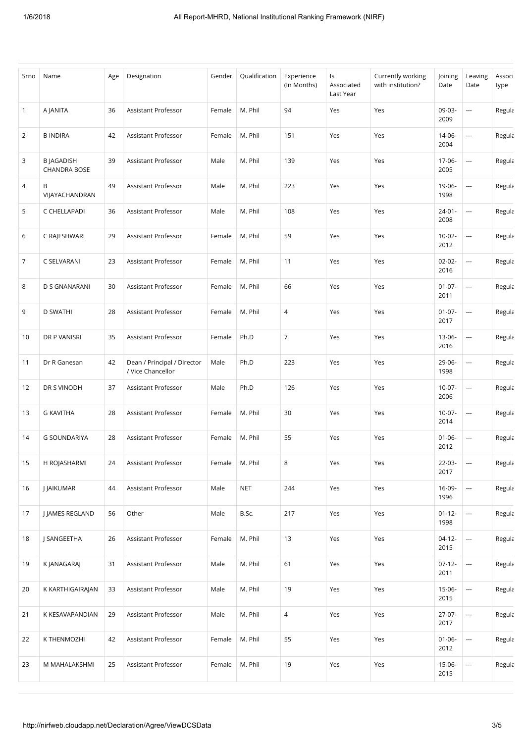| Srno           | Name                                     | Age | Designation                                      | Gender | Qualification | Experience<br>(In Months) | ls<br>Associated<br>Last Year | Currently working<br>with institution? | Joining<br>Date     | Leaving<br>Date          | Associ<br>type |
|----------------|------------------------------------------|-----|--------------------------------------------------|--------|---------------|---------------------------|-------------------------------|----------------------------------------|---------------------|--------------------------|----------------|
| $\mathbf{1}$   | A JANITA                                 | 36  | Assistant Professor                              | Female | M. Phil       | 94                        | Yes                           | Yes                                    | 09-03-<br>2009      | $\overline{\phantom{a}}$ | Regula         |
| $\overline{2}$ | <b>B INDIRA</b>                          | 42  | Assistant Professor                              | Female | M. Phil       | 151                       | Yes                           | Yes                                    | 14-06-<br>2004      | $\overline{\phantom{a}}$ | Regula         |
| 3              | <b>B JAGADISH</b><br><b>CHANDRA BOSE</b> | 39  | Assistant Professor                              | Male   | M. Phil       | 139                       | Yes                           | Yes                                    | 17-06-<br>2005      | $\overline{\phantom{a}}$ | Regula         |
| 4              | В<br>VIJAYACHANDRAN                      | 49  | Assistant Professor                              | Male   | M. Phil       | 223                       | Yes                           | Yes                                    | 19-06-<br>1998      | $\overline{a}$           | Regula         |
| 5              | C CHELLAPADI                             | 36  | Assistant Professor                              | Male   | M. Phil       | 108                       | Yes                           | Yes                                    | $24 - 01 -$<br>2008 | $\overline{\phantom{a}}$ | Regula         |
| 6              | C RAJESHWARI                             | 29  | Assistant Professor                              | Female | M. Phil       | 59                        | Yes                           | Yes                                    | $10-02-$<br>2012    | ---                      | Regula         |
| 7              | C SELVARANI                              | 23  | Assistant Professor                              | Female | M. Phil       | 11                        | Yes                           | Yes                                    | $02 - 02 -$<br>2016 | $\overline{\phantom{a}}$ | Regula         |
| 8              | D S GNANARANI                            | 30  | Assistant Professor                              | Female | M. Phil       | 66                        | Yes                           | Yes                                    | $01 - 07 -$<br>2011 | i.                       | Regula         |
| 9              | <b>D SWATHI</b>                          | 28  | Assistant Professor                              | Female | M. Phil       | 4                         | Yes                           | Yes                                    | $01 - 07 -$<br>2017 | $\overline{\phantom{a}}$ | Regula         |
| 10             | DR P VANISRI                             | 35  | Assistant Professor                              | Female | Ph.D          | $\overline{7}$            | Yes                           | Yes                                    | 13-06-<br>2016      | $\overline{\phantom{a}}$ | Regula         |
| 11             | Dr R Ganesan                             | 42  | Dean / Principal / Director<br>/ Vice Chancellor | Male   | Ph.D          | 223                       | Yes                           | Yes                                    | 29-06-<br>1998      | $\overline{\phantom{a}}$ | Regula         |
| 12             | DR S VINODH                              | 37  | Assistant Professor                              | Male   | Ph.D          | 126                       | Yes                           | Yes                                    | $10-07-$<br>2006    | $\overline{\phantom{a}}$ | Regula         |
| 13             | <b>G KAVITHA</b>                         | 28  | Assistant Professor                              | Female | M. Phil       | 30                        | Yes                           | Yes                                    | $10-07 -$<br>2014   | $\overline{a}$           | Regula         |
| 14             | <b>G SOUNDARIYA</b>                      | 28  | Assistant Professor                              | Female | M. Phil       | 55                        | Yes                           | Yes                                    | $01 - 06 -$<br>2012 | $\overline{\phantom{a}}$ | Regula         |
| 15             | H ROJASHARMI                             | 24  | Assistant Professor                              | Female | M. Phil       | 8                         | Yes                           | Yes                                    | 22-03-<br>2017      | $\hspace{0.05cm} \cdots$ | Regula         |
| 16             | <b>J JAIKUMAR</b>                        | 44  | Assistant Professor                              | Male   | <b>NET</b>    | 244                       | Yes                           | Yes                                    | 16-09-<br>1996      | $\overline{\phantom{a}}$ | Regula         |
| 17             | J JAMES REGLAND                          | 56  | Other                                            | Male   | B.Sc.         | 217                       | Yes                           | Yes                                    | $01 - 12 -$<br>1998 | $\hspace{0.05cm} \ldots$ | Regula         |
| 18             | J SANGEETHA                              | 26  | Assistant Professor                              | Female | M. Phil       | 13                        | Yes                           | Yes                                    | $04-12-$<br>2015    | $\hspace{0.05cm} \ldots$ | Regula         |
| 19             | K JANAGARAJ                              | 31  | Assistant Professor                              | Male   | M. Phil       | 61                        | Yes                           | Yes                                    | $07-12-$<br>2011    | $\hspace{0.05cm} \cdots$ | Regula         |
| 20             | K KARTHIGAIRAJAN                         | 33  | Assistant Professor                              | Male   | M. Phil       | 19                        | Yes                           | Yes                                    | $15-06-$<br>2015    | $\hspace{0.05cm} \ldots$ | Regula         |
| 21             | K KESAVAPANDIAN                          | 29  | Assistant Professor                              | Male   | M. Phil       | 4                         | Yes                           | Yes                                    | $27-07-$<br>2017    | $\hspace{0.05cm} \ldots$ | Regula         |
| 22             | K THENMOZHI                              | 42  | Assistant Professor                              | Female | M. Phil       | 55                        | Yes                           | Yes                                    | $01 - 06 -$<br>2012 | $\hspace{0.05cm}\ldots$  | Regula         |
| 23             | M MAHALAKSHMI                            | 25  | Assistant Professor                              | Female | M. Phil       | 19                        | Yes                           | Yes                                    | 15-06-<br>2015      | ---                      | Regula         |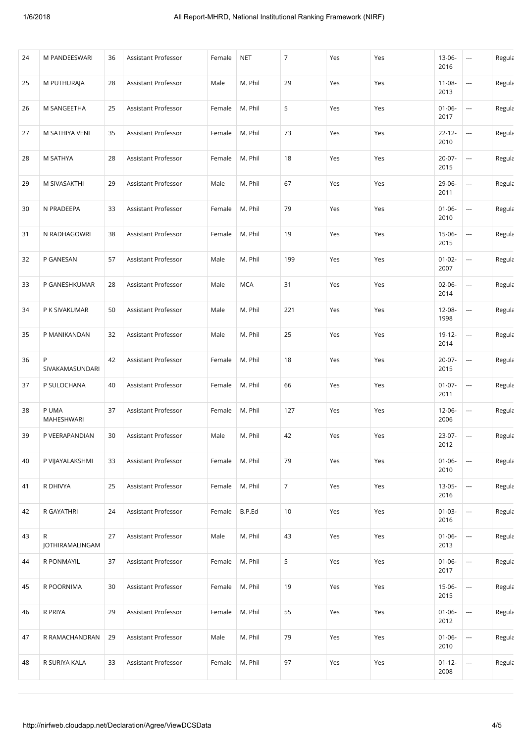| 24 | M PANDEESWARI        | 36 | Assistant Professor | Female | <b>NET</b> | $\overline{7}$ | Yes | Yes | 13-06-<br>2016      | $\hspace{0.05cm}\ldots$  | Regula |
|----|----------------------|----|---------------------|--------|------------|----------------|-----|-----|---------------------|--------------------------|--------|
| 25 | M PUTHURAJA          | 28 | Assistant Professor | Male   | M. Phil    | 29             | Yes | Yes | $11 - 08 -$<br>2013 | ---                      | Regula |
| 26 | M SANGEETHA          | 25 | Assistant Professor | Female | M. Phil    | 5              | Yes | Yes | $01 - 06 -$<br>2017 | $\hspace{0.05cm} \cdots$ | Regula |
| 27 | M SATHIYA VENI       | 35 | Assistant Professor | Female | M. Phil    | 73             | Yes | Yes | $22 - 12 -$<br>2010 | $\hspace{0.05cm} \ldots$ | Regula |
| 28 | M SATHYA             | 28 | Assistant Professor | Female | M. Phil    | 18             | Yes | Yes | $20-07-$<br>2015    | $\hspace{0.05cm} \ldots$ | Regula |
| 29 | M SIVASAKTHI         | 29 | Assistant Professor | Male   | M. Phil    | 67             | Yes | Yes | 29-06-<br>2011      | $\hspace{0.05cm} \ldots$ | Regula |
| 30 | N PRADEEPA           | 33 | Assistant Professor | Female | M. Phil    | 79             | Yes | Yes | $01 - 06 -$<br>2010 | $\hspace{0.05cm} \ldots$ | Regula |
| 31 | N RADHAGOWRI         | 38 | Assistant Professor | Female | M. Phil    | 19             | Yes | Yes | 15-06-<br>2015      | $\overline{a}$           | Regula |
| 32 | P GANESAN            | 57 | Assistant Professor | Male   | M. Phil    | 199            | Yes | Yes | $01 - 02 -$<br>2007 | $\hspace{0.05cm} \ldots$ | Regula |
| 33 | P GANESHKUMAR        | 28 | Assistant Professor | Male   | <b>MCA</b> | 31             | Yes | Yes | $02 - 06 -$<br>2014 | ---                      | Regula |
| 34 | P K SIVAKUMAR        | 50 | Assistant Professor | Male   | M. Phil    | 221            | Yes | Yes | 12-08-<br>1998      | $\hspace{1.5cm} \cdots$  | Regula |
| 35 | P MANIKANDAN         | 32 | Assistant Professor | Male   | M. Phil    | 25             | Yes | Yes | $19-12-$<br>2014    | $\overline{\phantom{a}}$ | Regula |
| 36 | P<br>SIVAKAMASUNDARI | 42 | Assistant Professor | Female | M. Phil    | 18             | Yes | Yes | 20-07-<br>2015      | $\hspace{0.05cm} \ldots$ | Regula |
| 37 | P SULOCHANA          | 40 | Assistant Professor | Female | M. Phil    | 66             | Yes | Yes | $01 - 07 -$<br>2011 | $\hspace{0.05cm} \ldots$ | Regula |
| 38 | P UMA<br>MAHESHWARI  | 37 | Assistant Professor | Female | M. Phil    | 127            | Yes | Yes | 12-06-<br>2006      | $\overline{a}$           | Regula |
| 39 | P VEERAPANDIAN       | 30 | Assistant Professor | Male   | M. Phil    | 42             | Yes | Yes | 23-07-<br>2012      | $\sim$                   | Regula |
| 40 | P VIJAYALAKSHMI      | 33 | Assistant Professor | Female | M. Phil    | 79             | Yes | Yes | $01 - 06 -$<br>2010 | $\hspace{0.05cm} \ldots$ | Regula |
| 41 | R DHIVYA             | 25 | Assistant Professor | Female | M. Phil    | $\overline{7}$ | Yes | Yes | 13-05-<br>2016      | ---                      | Regula |
| 42 | R GAYATHRI           | 24 | Assistant Professor | Female | B.P.Ed     | 10             | Yes | Yes | $01 - 03 -$<br>2016 | $\hspace{0.05cm} \ldots$ | Regula |
| 43 | R<br>JOTHIRAMALINGAM | 27 | Assistant Professor | Male   | M. Phil    | 43             | Yes | Yes | $01 - 06 -$<br>2013 | $\hspace{0.05cm} \ldots$ | Regula |
| 44 | R PONMAYIL           | 37 | Assistant Professor | Female | M. Phil    | 5              | Yes | Yes | $01 - 06 -$<br>2017 | $\hspace{0.05cm} \ldots$ | Regula |
| 45 | R POORNIMA           | 30 | Assistant Professor | Female | M. Phil    | 19             | Yes | Yes | 15-06-<br>2015      | ---                      | Regula |
| 46 | R PRIYA              | 29 | Assistant Professor | Female | M. Phil    | 55             | Yes | Yes | $01 - 06 -$<br>2012 | $\hspace{0.05cm} \ldots$ | Regula |
| 47 | R RAMACHANDRAN       | 29 | Assistant Professor | Male   | M. Phil    | 79             | Yes | Yes | $01 - 06 -$<br>2010 | $\hspace{0.05cm} \ldots$ | Regula |
| 48 | R SURIYA KALA        | 33 | Assistant Professor | Female | M. Phil    | 97             | Yes | Yes | $01 - 12 -$<br>2008 | $\hspace{0.05cm} \cdots$ | Regula |